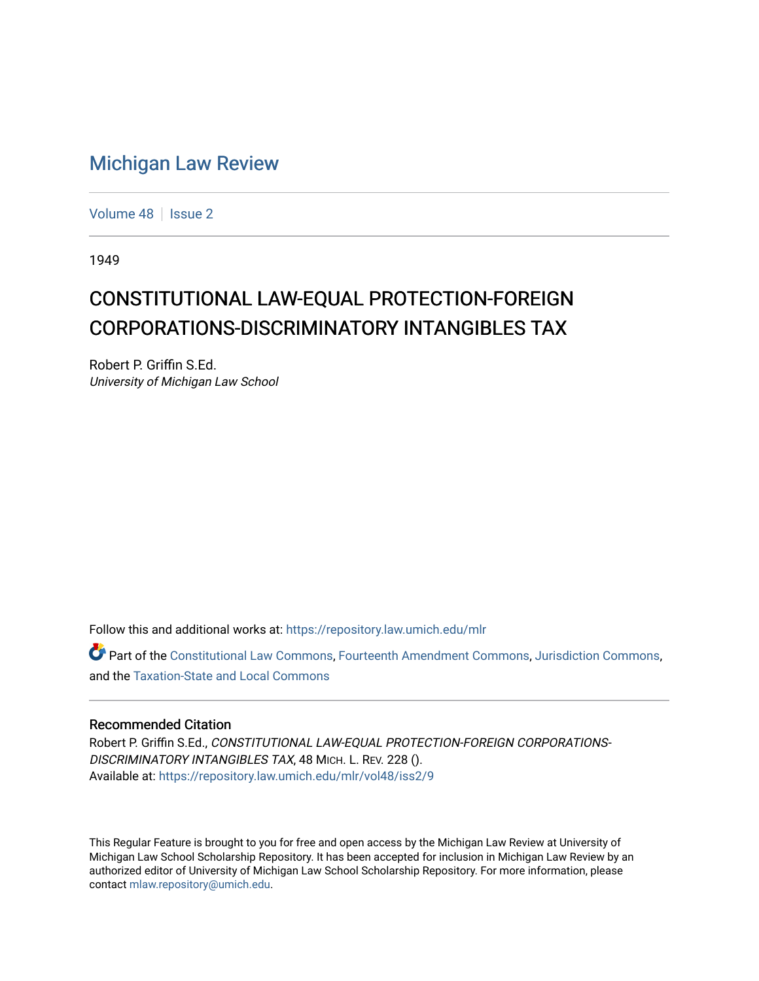## [Michigan Law Review](https://repository.law.umich.edu/mlr)

[Volume 48](https://repository.law.umich.edu/mlr/vol48) | [Issue 2](https://repository.law.umich.edu/mlr/vol48/iss2)

1949

## CONSTITUTIONAL LAW-EQUAL PROTECTION-FOREIGN CORPORATIONS-DISCRIMINATORY INTANGIBLES TAX

Robert P. Griffin S.Ed. University of Michigan Law School

Follow this and additional works at: [https://repository.law.umich.edu/mlr](https://repository.law.umich.edu/mlr?utm_source=repository.law.umich.edu%2Fmlr%2Fvol48%2Fiss2%2F9&utm_medium=PDF&utm_campaign=PDFCoverPages) 

Part of the [Constitutional Law Commons,](http://network.bepress.com/hgg/discipline/589?utm_source=repository.law.umich.edu%2Fmlr%2Fvol48%2Fiss2%2F9&utm_medium=PDF&utm_campaign=PDFCoverPages) [Fourteenth Amendment Commons](http://network.bepress.com/hgg/discipline/1116?utm_source=repository.law.umich.edu%2Fmlr%2Fvol48%2Fiss2%2F9&utm_medium=PDF&utm_campaign=PDFCoverPages), [Jurisdiction Commons,](http://network.bepress.com/hgg/discipline/850?utm_source=repository.law.umich.edu%2Fmlr%2Fvol48%2Fiss2%2F9&utm_medium=PDF&utm_campaign=PDFCoverPages) and the [Taxation-State and Local Commons](http://network.bepress.com/hgg/discipline/882?utm_source=repository.law.umich.edu%2Fmlr%2Fvol48%2Fiss2%2F9&utm_medium=PDF&utm_campaign=PDFCoverPages)

## Recommended Citation

Robert P. Griffin S.Ed., CONSTITUTIONAL LAW-EQUAL PROTECTION-FOREIGN CORPORATIONS-DISCRIMINATORY INTANGIBLES TAX, 48 MICH. L. REV. 228 (). Available at: [https://repository.law.umich.edu/mlr/vol48/iss2/9](https://repository.law.umich.edu/mlr/vol48/iss2/9?utm_source=repository.law.umich.edu%2Fmlr%2Fvol48%2Fiss2%2F9&utm_medium=PDF&utm_campaign=PDFCoverPages)

This Regular Feature is brought to you for free and open access by the Michigan Law Review at University of Michigan Law School Scholarship Repository. It has been accepted for inclusion in Michigan Law Review by an authorized editor of University of Michigan Law School Scholarship Repository. For more information, please contact [mlaw.repository@umich.edu](mailto:mlaw.repository@umich.edu).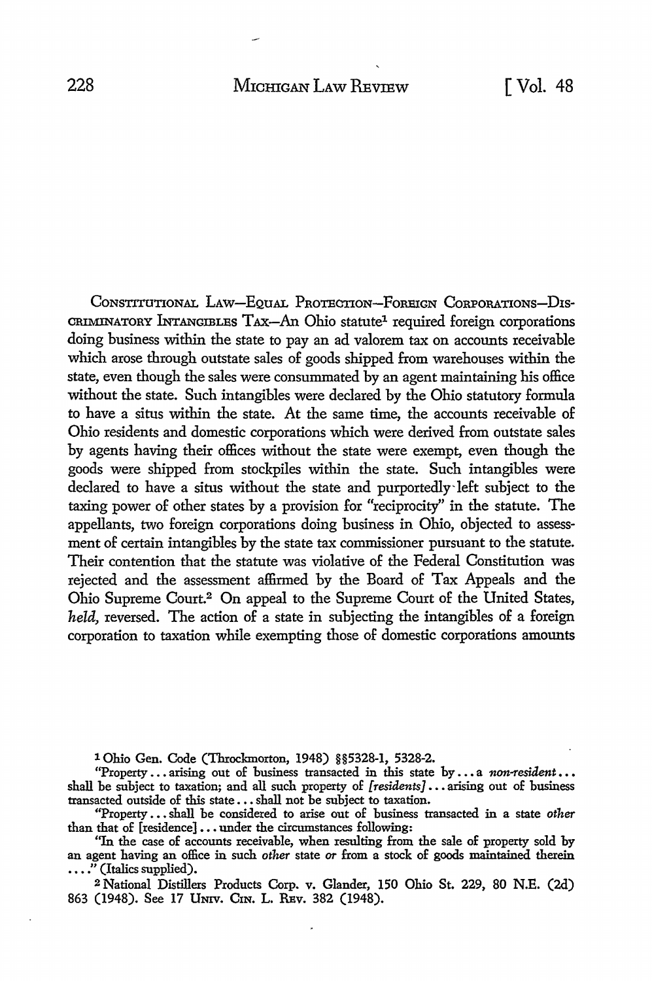CoNsTITUTIONAL LAw-EQuAL PROTECTION-FOREIGN CoRPORATIONs-D1s-CRIMINATORY INTANGIBLES TAX-An Ohio statute<sup>1</sup> required foreign corporations doing business within the state to pay an ad valorem tax on accounts receivable which arose through outstate sales of goods shipped from warehouses within the state, even though the sales were consummated by an agent maintaining his office without the state. Such intangibles were declared by the Ohio statutory formula to have a situs within the state. At the same time, the accounts receivable of Ohio residents and domestic corporations which were derived from outstate sales by agents having their offices without the state were exempt, even though the goods were shipped from stockpiles within the state. Such intangibles were declared to have a situs without the state and purportedly-left subject to the taxing power of other states by a provision for "reciprocity" in the statute. The appellants, two foreign corporations doing business in Ohio, objected to assessment of certain intangibles by the state tax commissioner pursuant to the statute. Their contention that the statute was violative of the Federal Constitution was rejected and the assessment affirmed by the Board of Tax Appeals and the Ohio Supreme Court.2 On appeal to the Supreme Court of the United States, *held,* reversed. The action of a state in subjecting the intangibles of a foreign corporation to taxation while exempting those of domestic corporations amounts

l Ohio Gen. Code (Throckmorton, 1948) §§5328-1, 5328-2.

"Property ... arising out of business transacted in this state by ... a *non-resident* ... shall be subject to taxation; and all such property of *[residents] •••* arising out of business transacted outside of this state ••• shall not be subject to taxation.

"Property ... shall be considered to arise out of business transacted in a state other than that of [residence]...under the circumstances following:

"In the case of accounts receivable, when resulting from the sale of property sold by an agent having an office in such *other* state *or* from a stock of goods maintained therein  $\ldots$ ." (Italics supplied).

<sup>2</sup>National Distillers Products Corp. v. Glander, 150 Ohio St. 229, 80 N.E. (2d) 863 (1948). See 17 UNIV. C1N. L. REv. 382 (1948).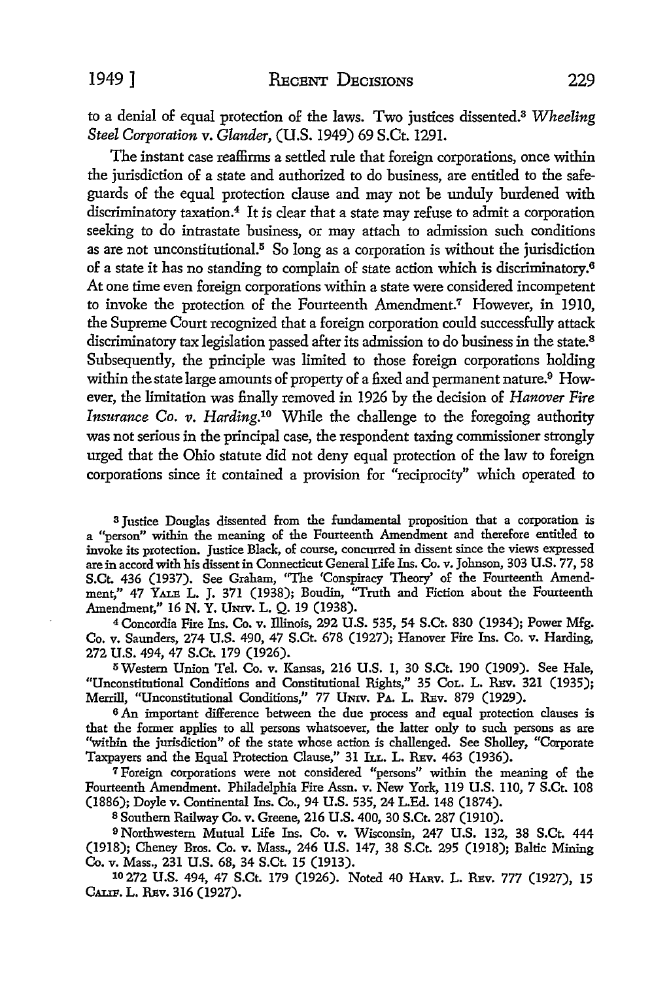to a denial of equal protection of the laws. Two justices dissented.3 *Wheeling Steel Corporation* v. *Glander,* (U.S. 1949) 69 S.Ct. 1291.

The instant case reaffirms a settled rule that foreign corporations, once within the jurisdiction of a state and authorized to do business, are entitled to the safeguards of the equal protection clause and may not be unduly burdened with discriminatory taxation.<sup>4</sup> It is clear that a state may refuse to admit a corporation seeking to do intrastate business, or may attach to admission such conditions as are not unconstitutional.<sup>5</sup> So long as a corporation is without the jurisdiction of a state it has no standing to complain of state action which is discriminatory.<sup>6</sup> At one time even foreign corporations within a state were considered incompetent to invoke the protection of the Fourteenth Amendment.7 However, in 1910, the Supreme Court recognized that a foreign corporation could successfully attack discriminatory tax legislation passed after its admission to do business in the state.<sup>8</sup> Subsequently, the principle was limited to those foreign corporations holding within the state large amounts of property of a fixed and permanent nature.<sup>9</sup> However, the limitation was finally removed in 1926 by the decision of *Hanover Fire Insurance Co. v. Harding.10* While the challenge to the foregoing authority was not serious in the principal case, the respondent taxing commissioner strongly urged that the Ohio statute did not deny equal protection of the law to foreign corporations since it contained a provision for "reciprocity" which operated to

<sup>3</sup>Justice Douglas dissented from the fundamental proposition that a corporation is a "person" within the meaning of the Fourteenth Amendment and therefore entitled to invoke its protection. Justice Black, of course, concurred in dissent since the views expressed are in accord with his dissent in Connecticut General Life Ins. Co. v. Johnson, 303 U.S. 77, 58 S.Ct. 436 (1937). See Graham, ''The 'Conspiracy Theory' of the Fourteenth Amendment," 47 YALB L. J. 371 (1938); Boudin, ''Truth and Fiction about the Fourteenth Amendment," 16 N. Y. Umv. L. Q. 19 (1938).

<sup>4</sup>Concordia Fire Ins. Co. v. Illinois, 292 U.S. 535, 54 S.Ct. 830 (1934); Power Mfg. Co. v. Saunders, 274 U.S. 490, 47 S.Ct. 678 (1927); Hanover Fire Ins. Co. v. Harding, 272 U.S. 494, 47 S.Ct. 179 (1926).

5Western Union Tel. Co. v. Kansas, 216 U.S. 1, 30 S.Ct. 190 (1909). See Hale, "Unconstitutional Conditions and Constitutional Rights," 35 CoL. L. Rav. 321 (1935); Merrill, "Unconstitutional Conditions," 77 UNIV. PA. L. REV. 879 (1929).

6 An important difference between the due process and equal protection clauses is that the former applies to all persons whatsoever, the latter only to such persons as are "within the jurisdiction" of the state whose action is challenged. See Sholley, "Corporate Taxpayers and the Equal Protection Clause," 31 ILL. L. REV. 463 (1936).

7 Foreign corporations were not considered "persons" within the meaning of the Fourteenth Amendment. Philadelphia Fire Assn. v. New York, 119 U.S. 110, 7 S.Ct. 108 (1886); Doyle v. Continental Ins. Co., 94 U.S. 535, 24 L.Ed. 148 (1874).

8 Southern Railway Co. v. Greene, 216 U.S. 400, 30 S.Ct. 287 (1910).

9 Northwestern Mutual Life Ins. Co. v. Wisconsin, 247 U.S. 132, 38 S.Ct. 444 (1918); Cheney Bros. Co. v. Mass., 246 U.S. 147, 38 S.Ct. 295 (1918); Baltic Mining Co. v. Mass., 231 U.S. 68, 34 S.Ct. 15 (1913).

10 272 U.S. 494, 47 S.Ct. 179 (1926). Noted 40 HARV. L. REV. 777 (1927), 15 CALIF. L. REV. 316 (1927).